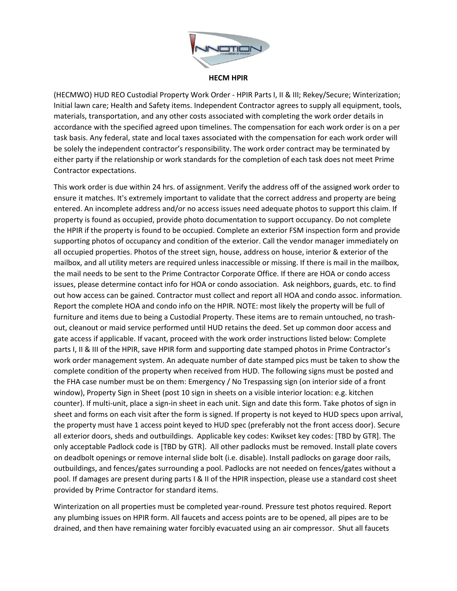

## **HECM HPIR**

(HECMWO) HUD REO Custodial Property Work Order - HPIR Parts I, II & III; Rekey/Secure; Winterization; Initial lawn care; Health and Safety items. Independent Contractor agrees to supply all equipment, tools, materials, transportation, and any other costs associated with completing the work order details in accordance with the specified agreed upon timelines. The compensation for each work order is on a per task basis. Any federal, state and local taxes associated with the compensation for each work order will be solely the independent contractor's responsibility. The work order contract may be terminated by either party if the relationship or work standards for the completion of each task does not meet Prime Contractor expectations.

This work order is due within 24 hrs. of assignment. Verify the address off of the assigned work order to ensure it matches. It's extremely important to validate that the correct address and property are being entered. An incomplete address and/or no access issues need adequate photos to support this claim. If property is found as occupied, provide photo documentation to support occupancy. Do not complete the HPIR if the property is found to be occupied. Complete an exterior FSM inspection form and provide supporting photos of occupancy and condition of the exterior. Call the vendor manager immediately on all occupied properties. Photos of the street sign, house, address on house, interior & exterior of the mailbox, and all utility meters are required unless inaccessible or missing. If there is mail in the mailbox, the mail needs to be sent to the Prime Contractor Corporate Office. If there are HOA or condo access issues, please determine contact info for HOA or condo association. Ask neighbors, guards, etc. to find out how access can be gained. Contractor must collect and report all HOA and condo assoc. information. Report the complete HOA and condo info on the HPIR. NOTE: most likely the property will be full of furniture and items due to being a Custodial Property. These items are to remain untouched, no trashout, cleanout or maid service performed until HUD retains the deed. Set up common door access and gate access if applicable. If vacant, proceed with the work order instructions listed below: Complete parts I, II & III of the HPIR, save HPIR form and supporting date stamped photos in Prime Contractor's work order management system. An adequate number of date stamped pics must be taken to show the complete condition of the property when received from HUD. The following signs must be posted and the FHA case number must be on them: Emergency / No Trespassing sign (on interior side of a front window), Property Sign in Sheet (post 10 sign in sheets on a visible interior location: e.g. kitchen counter). If multi-unit, place a sign-in sheet in each unit. Sign and date this form. Take photos of sign in sheet and forms on each visit after the form is signed. If property is not keyed to HUD specs upon arrival, the property must have 1 access point keyed to HUD spec (preferably not the front access door). Secure all exterior doors, sheds and outbuildings. Applicable key codes: Kwikset key codes: [TBD by GTR]. The only acceptable Padlock code is [TBD by GTR]. All other padlocks must be removed. Install plate covers on deadbolt openings or remove internal slide bolt (i.e. disable). Install padlocks on garage door rails, outbuildings, and fences/gates surrounding a pool. Padlocks are not needed on fences/gates without a pool. If damages are present during parts I & II of the HPIR inspection, please use a standard cost sheet provided by Prime Contractor for standard items.

Winterization on all properties must be completed year-round. Pressure test photos required. Report any plumbing issues on HPIR form. All faucets and access points are to be opened, all pipes are to be drained, and then have remaining water forcibly evacuated using an air compressor. Shut all faucets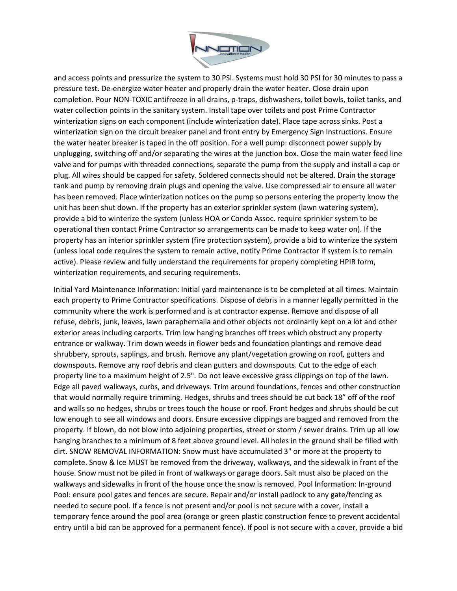

and access points and pressurize the system to 30 PSI. Systems must hold 30 PSI for 30 minutes to pass a pressure test. De-energize water heater and properly drain the water heater. Close drain upon completion. Pour NON-TOXIC antifreeze in all drains, p-traps, dishwashers, toilet bowls, toilet tanks, and water collection points in the sanitary system. Install tape over toilets and post Prime Contractor winterization signs on each component (include winterization date). Place tape across sinks. Post a winterization sign on the circuit breaker panel and front entry by Emergency Sign Instructions. Ensure the water heater breaker is taped in the off position. For a well pump: disconnect power supply by unplugging, switching off and/or separating the wires at the junction box. Close the main water feed line valve and for pumps with threaded connections, separate the pump from the supply and install a cap or plug. All wires should be capped for safety. Soldered connects should not be altered. Drain the storage tank and pump by removing drain plugs and opening the valve. Use compressed air to ensure all water has been removed. Place winterization notices on the pump so persons entering the property know the unit has been shut down. If the property has an exterior sprinkler system (lawn watering system), provide a bid to winterize the system (unless HOA or Condo Assoc. require sprinkler system to be operational then contact Prime Contractor so arrangements can be made to keep water on). If the property has an interior sprinkler system (fire protection system), provide a bid to winterize the system (unless local code requires the system to remain active, notify Prime Contractor if system is to remain active). Please review and fully understand the requirements for properly completing HPIR form, winterization requirements, and securing requirements.

Initial Yard Maintenance Information: Initial yard maintenance is to be completed at all times. Maintain each property to Prime Contractor specifications. Dispose of debris in a manner legally permitted in the community where the work is performed and is at contractor expense. Remove and dispose of all refuse, debris, junk, leaves, lawn paraphernalia and other objects not ordinarily kept on a lot and other exterior areas including carports. Trim low hanging branches off trees which obstruct any property entrance or walkway. Trim down weeds in flower beds and foundation plantings and remove dead shrubbery, sprouts, saplings, and brush. Remove any plant/vegetation growing on roof, gutters and downspouts. Remove any roof debris and clean gutters and downspouts. Cut to the edge of each property line to a maximum height of 2.5". Do not leave excessive grass clippings on top of the lawn. Edge all paved walkways, curbs, and driveways. Trim around foundations, fences and other construction that would normally require trimming. Hedges, shrubs and trees should be cut back 18" off of the roof and walls so no hedges, shrubs or trees touch the house or roof. Front hedges and shrubs should be cut low enough to see all windows and doors. Ensure excessive clippings are bagged and removed from the property. If blown, do not blow into adjoining properties, street or storm / sewer drains. Trim up all low hanging branches to a minimum of 8 feet above ground level. All holes in the ground shall be filled with dirt. SNOW REMOVAL INFORMATION: Snow must have accumulated 3" or more at the property to complete. Snow & Ice MUST be removed from the driveway, walkways, and the sidewalk in front of the house. Snow must not be piled in front of walkways or garage doors. Salt must also be placed on the walkways and sidewalks in front of the house once the snow is removed. Pool Information: In-ground Pool: ensure pool gates and fences are secure. Repair and/or install padlock to any gate/fencing as needed to secure pool. If a fence is not present and/or pool is not secure with a cover, install a temporary fence around the pool area (orange or green plastic construction fence to prevent accidental entry until a bid can be approved for a permanent fence). If pool is not secure with a cover, provide a bid